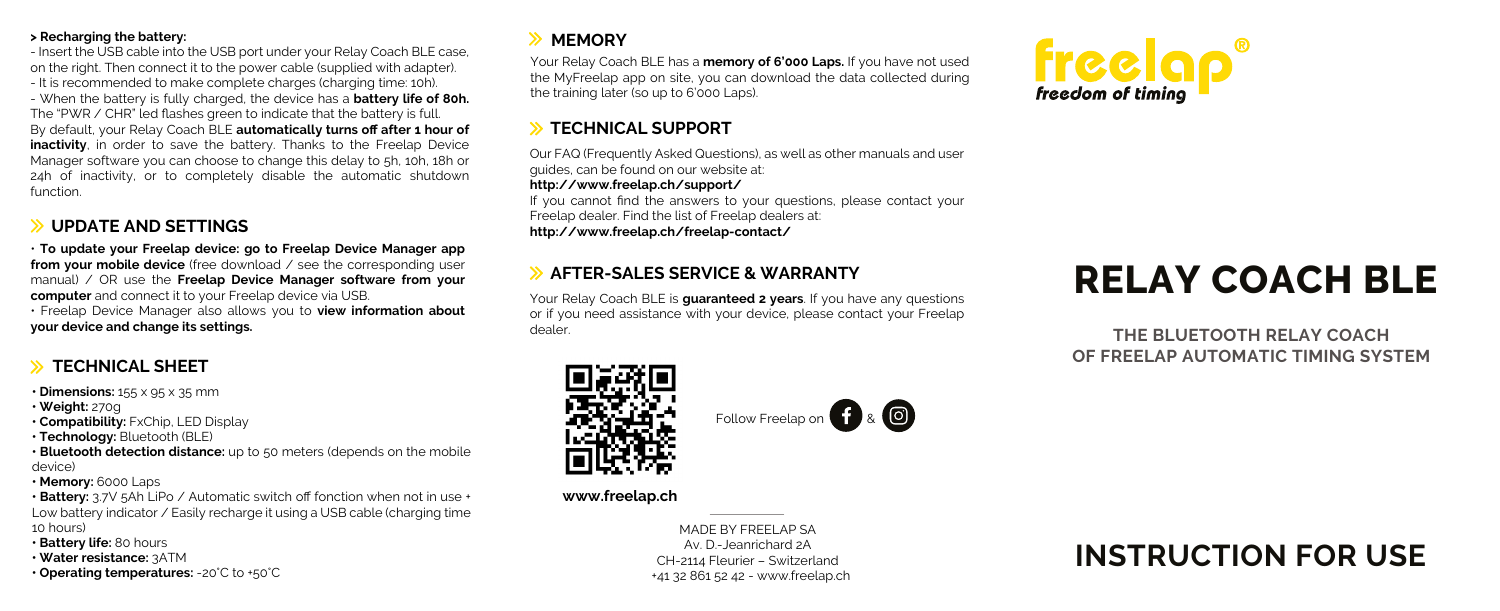### **> Recharging the battery:**

- Insert the USB cable into the USB port under your Relay Coach BLE case, on the right. Then connect it to the power cable (supplied with adapter). - It is recommended to make complete charges (charging time: 10h). - When the battery is fully charged, the device has a **battery life of 80h.**  The "PWR / CHR" led flashes green to indicate that the battery is full. By default, your Relay Coach BLE **automatically turns off after 1 hour of inactivity**, in order to save the battery. Thanks to the Freelap Device Manager software you can choose to change this delay to 5h, 10h, 18h or 24h of inactivity, or to completely disable the automatic shutdown function.

# **UPDATE AND SETTINGS**

• **To update your Freelap device: go to Freelap Device Manager app from your mobile device** (free download / see the corresponding user manual) / OR use the **Freelap Device Manager software from your computer** and connect it to your Freelap device via USB.

• Freelap Device Manager also allows you to **view information about your device and change its settings.**

**• Dimensions:** 155 x 95 x 35 mm

- **Weight:** 270g
- **Compatibility:** FxChip, LED Display
- **Technology:** Bluetooth (BLE)
- **Bluetooth detection distance:** up to 50 meters (depends on the mobile device)
- **Memory:** 6000 Laps

**• Battery:** 3.7V 5Ah LiPo / Automatic switch off fonction when not in use + Low battery indicator / Easily recharge it using a USB cable (charging time 10 hours)

- **Battery life:** 80 hours
- **Water resistance:** 3ATM

**• Operating temperatures:** -20°C to +50°C

# **EXAMPLE**

Your Relay Coach BLE has a **memory of 6'000 Laps.** If you have not used the MyFreelap app on site, you can download the data collected during the training later (so up to 6'000 Laps).

## **S TECHNICAL SUPPORT**

Our FAQ (Frequently Asked Questions), as well as other manuals and user guides, can be found on our website at:

### **http://www.freelap.ch/support/**

If you cannot find the answers to your questions, please contact your Freelap dealer. Find the list of Freelap dealers at: **http://www.freelap.ch/freelap-contact/**

# **EXALLES SERVICE & WARRANTY**

Your Relay Coach BLE is **guaranteed 2 years**. If you have any questions or if you need assistance with your device, please contact your Freelap dealer.

Follow Freelap on **f** & **O** 



# **RELAY COACH BLE**

**THE BLUETOOTH RELAY COACH OF FREELAP AUTOMATIC TIMING SYSTEM** 



### **www.freelap.ch**

MADE BY FREELAP SA Av. D.-Jeanrichard 2A CH-2114 Fleurier – Switzerland +41 32 861 52 42 - www.freelap.ch

# **INSTRUCTION FOR USE**